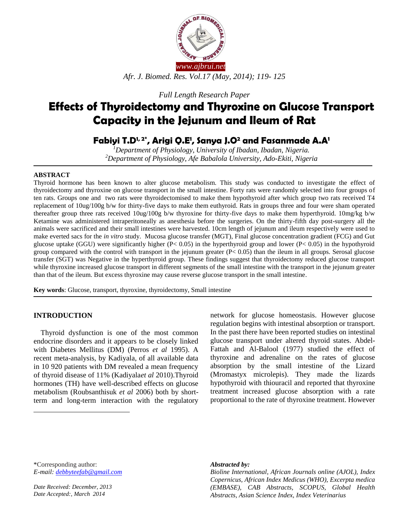

*Full Length Research Paper*

# **Effects of Thyroidectomy and Thyroxine on Glucose Transport Capacity in the Jejunum and Ileum of Rat**

## **Fabiyi T.D1, 2\* , Arigi Q.E<sup>1</sup> , Sanya J.O<sup>2</sup> and Fasanmade A.A<sup>1</sup>**

*<sup>1</sup>Department of Physiology, University of Ibadan, Ibadan, Nigeria. <sup>2</sup>Department of Physiology, Afe Babalola University, Ado-Ekiti, Nigeria*

#### **ABSTRACT**

Thyroid hormone has been known to alter glucose metabolism. This study was conducted to investigate the effect of thyroidectomy and thyroxine on glucose transport in the small intestine. Forty rats were randomly selected into four groups of ten rats. Groups one and two rats were thyroidectomised to make them hypothyroid after which group two rats received T4 replacement of 10ug/100g b/w for thirty-five days to make them euthyroid. Rats in groups three and four were sham operated thereafter group three rats received 10ug/100g b/w thyroxine for thirty-five days to make them hyperthyroid. 10mg/kg b/w Ketamine was administered intraperitoneally as anesthesia before the surgeries. On the thirty-fifth day post-surgery all the animals were sacrificed and their small intestines were harvested. 10cm length of jejunum and ileum respectively were used to make everted sacs for the *in vitro* study. Mucosa glucose transfer (MGT), Final glucose concentration gradient (FCG) and Gut glucose uptake (GGU) were significantly higher  $(P< 0.05)$  in the hyperthyroid group and lower  $(P< 0.05)$  in the hypothyroid group compared with the control with transport in the jejunum greater  $(P< 0.05)$  than the ileum in all groups. Serosal glucose transfer (SGT) was Negative in the hyperthyroid group. These findings suggest that thyroidectomy reduced glucose transport while thyroxine increased glucose transport in different segments of the small intestine with the transport in the jejunum greater than that of the ileum. But excess thyroxine may cause reverse glucose transport in the small intestine.

**Key words**: Glucose, transport, thyroxine, thyroidectomy, Small intestine

#### **INTRODUCTION**

 $\overline{a}$ 

**<sup>1</sup>** Thyroid dysfunction is one of the most common endocrine disorders and it appears to be closely linked with Diabetes Mellitus (DM) (Perros *et al* 1995). A recent meta-analysis, by Kadiyala, of all available data in 10 920 patients with DM revealed a mean frequency of thyroid disease of 11% (Kadiyala*et al* 2010).Thyroid hormones (TH) have well-described effects on glucose metabolism (Roubsanthisuk *et al* 2006) both by shortterm and long-term interaction with the regulatory network for glucose homeostasis. However glucose regulation begins with intestinal absorption or transport. In the past there have been reported studies on intestinal glucose transport under altered thyroid states. Abdel-Fattah and Al-Balool (1977) studied the effect of thyroxine and adrenaline on the rates of glucose absorption by the small intestine of the Lizard (Mromastyx microlepis). They made the lizards hypothyroid with thiouracil and reported that thyroxine treatment increased glucose absorption with a rate proportional to the rate of thyroxine treatment. However

\*Corresponding author: *E-mail: [debbyteefab@gmail.com](mailto:debbyteefab@gmail.com)*

*Date Received: December, 2013 Date Accepted:, March 2014*

#### *Abstracted by:*

*Bioline International, African Journals online (AJOL), Index Copernicus, African Index Medicus (WHO), Excerpta medica (EMBASE), CAB Abstracts, SCOPUS, Global Health Abstracts, Asian Science Index, Index Veterinarius*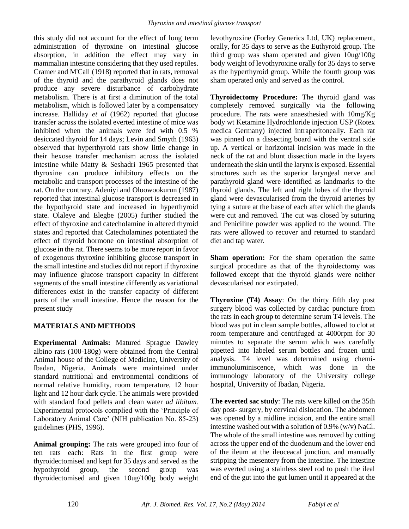this study did not account for the effect of long term administration of thyroxine on intestinal glucose absorption, in addition the effect may vary in mammalian intestine considering that they used reptiles. Cramer and M'Call (1918) reported that in rats, removal of the thyroid and the parathyroid glands does not produce any severe disturbance of carbohydrate metabolism. There is at first a diminution of the total metabolism, which is followed later by a compensatory increase. Halliday *et al* (1962) reported that glucose transfer across the isolated everted intestine of mice was inhibited when the animals were fed with 0.5 % desiccated thyroid for 14 days; Levin and Smyth (1963) observed that hyperthyroid rats show little change in their hexose transfer mechanism across the isolated intestine while Matty & Seshadri 1965 presented that thyroxine can produce inhibitory effects on the metabolic and transport processes of the intestine of the rat. On the contrary, Adeniyi and Oloowookurun (1987) reported that intestinal glucose transport is decreased in the hypothyroid state and increased in hyperthyroid state. Olaleye and Elegbe (2005) further studied the effect of thyroxine and catecholamine in altered thyroid states and reported that Catecholamines potentiated the effect of thyroid hormone on intestinal absorption of glucose in the rat. There seems to be more report in favor of exogenous thyroxine inhibiting glucose transport in the small intestine and studies did not report if thyroxine may influence glucose transport capacity in different segments of the small intestine differently as variational differences exist in the transfer capacity of different parts of the small intestine. Hence the reason for the present study

## **MATERIALS AND METHODS**

**Experimental Animals:** Matured Sprague Dawley albino rats (100-180g) were obtained from the Central Animal house of the College of Medicine, University of Ibadan, Nigeria. Animals were maintained under standard nutritional and environmental conditions of normal relative humidity, room temperature, 12 hour light and 12 hour dark cycle. The animals were provided with standard food pellets and clean water *ad libitum.*  Experimental protocols complied with the 'Principle of Laboratory Animal Care' (NIH publication No. 85-23) guidelines (PHS, 1996).

**Animal grouping:** The rats were grouped into four of ten rats each: Rats in the first group were thyroidectomised and kept for 35 days and served as the hypothyroid group, the second group was thyroidectomised and given 10ug/100g body weight levothyroxine (Forley Generics Ltd, UK) replacement, orally, for 35 days to serve as the Euthyroid group. The third group was sham operated and given 10ug/100g body weight of levothyroxine orally for 35 days to serve as the hyperthyroid group. While the fourth group was sham operated only and served as the control.

**Thyroidectomy Procedure:** The thyroid gland was completely removed surgically via the following procedure. The rats were anaesthesied with 10mg/Kg body wt Ketamine Hydrochloride injection USP (Rotex medica Germany) injected intraperitoneally. Each rat was pinned on a dissecting board with the ventral side up. A vertical or horizontal incision was made in the neck of the rat and blunt dissection made in the layers underneath the skin until the larynx is exposed. Essential structures such as the superior laryngeal nerve and parathyroid gland were identified as landmarks to the thyroid glands. The left and right lobes of the thyroid gland were devascularised from the thyroid arteries by tying a suture at the base of each after which the glands were cut and removed. The cut was closed by suturing and Peniciline powder was applied to the wound. The rats were allowed to recover and returned to standard diet and tap water.

**Sham operation:** For the sham operation the same surgical procedure as that of the thyroidectomy was followed except that the thyroid glands were neither devascularised nor extirpated.

**Thyroxine (T4) Assay**: On the thirty fifth day post surgery blood was collected by cardiac puncture from the rats in each group to determine serum T4 levels. The blood was put in clean sample bottles, allowed to clot at room temperature and centrifuged at 4000rpm for 30 minutes to separate the serum which was carefully pipetted into labeled serum bottles and frozen until analysis. T4 level was determined using chemiimmunoluminiscence, which was done in the immunology laboratory of the University college hospital, University of Ibadan, Nigeria.

**The everted sac study**: The rats were killed on the 35th day post- surgery, by cervical dislocation. The abdomen was opened by a midline incision, and the entire small intestine washed out with a solution of 0.9% (w/v) NaCl. The whole of the small intestine was removed by cutting across the upper end of the duodenum and the lower end of the ileum at the ileoceacal junction, and manually stripping the mesentery from the intestine. The intestine was everted using a stainless steel rod to push the ileal end of the gut into the gut lumen until it appeared at the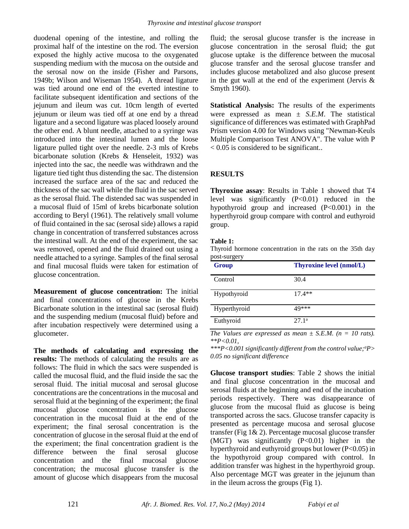duodenal opening of the intestine, and rolling the proximal half of the intestine on the rod. The eversion exposed the highly active mucosa to the oxygenated suspending medium with the mucosa on the outside and the serosal now on the inside (Fisher and Parsons, 1949b; Wilson and Wiseman 1954). A thread ligature was tied around one end of the everted intestine to facilitate subsequent identification and sections of the jejunum and ileum was cut. 10cm length of everted jejunum or ileum was tied off at one end by a thread ligature and a second ligature was placed loosely around the other end. A blunt needle, attached to a syringe was introduced into the intestinal lumen and the loose ligature pulled tight over the needle. 2-3 mls of Krebs bicarbonate solution (Krebs & Henseleit, 1932) was injected into the sac, the needle was withdrawn and the ligature tied tight thus distending the sac. The distension increased the surface area of the sac and reduced the thickness of the sac wall while the fluid in the sac served as the serosal fluid. The distended sac was suspended in a mucosal fluid of 15ml of krebs bicarbonate solution according to Beryl (1961). The relatively small volume of fluid contained in the sac (serosal side) allows a rapid change in concentration of transferred substances across the intestinal wall. At the end of the experiment, the sac was removed, opened and the fluid drained out using a needle attached to a syringe. Samples of the final serosal and final mucosal fluids were taken for estimation of glucose concentration.

**Measurement of glucose concentration:** The initial and final concentrations of glucose in the Krebs Bicarbonate solution in the intestinal sac (serosal fluid) and the suspending medium (mucosal fluid) before and after incubation respectively were determined using a glucometer.

**The methods of calculating and expressing the results:** The methods of calculating the results are as follows: The fluid in which the sacs were suspended is called the mucosal fluid, and the fluid inside the sac the serosal fluid. The initial mucosal and serosal glucose concentrations are the concentrations in the mucosal and serosal fluid at the beginning of the experiment; the final mucosal glucose concentration is the glucose concentration in the mucosal fluid at the end of the experiment; the final serosal concentration is the concentration of glucose in the serosal fluid at the end of the experiment; the final concentration gradient is the difference between the final serosal glucose concentration and the final mucosal glucose concentration; the mucosal glucose transfer is the amount of glucose which disappears from the mucosal

fluid; the serosal glucose transfer is the increase in glucose concentration in the serosal fluid; the gut glucose uptake is the difference between the mucosal glucose transfer and the serosal glucose transfer and includes glucose metabolized and also glucose present in the gut wall at the end of the experiment (Jervis  $\&$ Smyth 1960).

**Statistical Analysis:** The results of the experiments were expressed as mean ± *S.E.M*. The statistical significance of differences was estimated with GraphPad Prism version 4.00 for Windows using "Newman-Keuls Multiple Comparison Test ANOVA". The value with P  $< 0.05$  is considered to be significant..

### **RESULTS**

**Thyroxine assay**: Results in Table 1 showed that T4 level was significantly (P<0.01) reduced in the hypothyroid group and increased (P<0.001) in the hyperthyroid group compare with control and euthyroid group.

#### **Table 1:**

Thyroid hormone concentration in the rats on the 35th day post-surgery

| <b>Group</b> | <b>Thyroxine level (nmol/L)</b> |
|--------------|---------------------------------|
| Control      | 30.4                            |
| Hypothyroid  | $17.4**$                        |
| Hyperthyroid | 49***                           |
| Euthyroid    | 27.1 <sup>a</sup>               |

*The Values are expressed as mean*  $\pm$  *S.E.M.* ( $n = 10$  *rats). \*\*P<0.01,* 

*\*\*\*P<0.001 significantly different from the control value;<sup>a</sup>P> 0.05 no significant difference*

**Glucose transport studies**: Table 2 shows the initial and final glucose concentration in the mucosal and serosal fluids at the beginning and end of the incubation periods respectively. There was disappearance of glucose from the mucosal fluid as glucose is being transported across the sacs. Glucose transfer capacity is presented as percentage mucosa and serosal glucose transfer (Fig 1& 2). Percentage mucosal glucose transfer (MGT) was significantly (P<0.01) higher in the hyperthyroid and euthyroid groups but lower (P<0.05) in the hypothyroid group compared with control. In addition transfer was highest in the hyperthyroid group. Also percentage MGT was greater in the jejunum than in the ileum across the groups (Fig 1).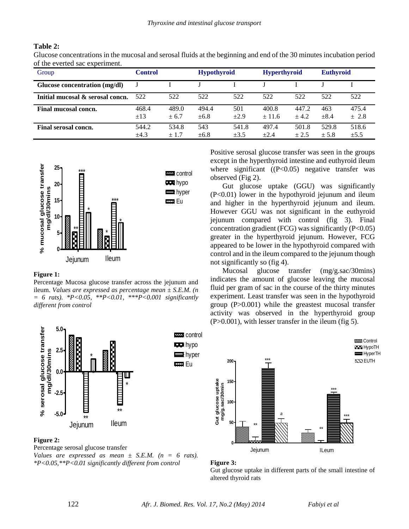#### **Table 2:**

Glucose concentrations in the mucosal and serosal fluids at the beginning and end of the 30 minutes incubation period of the everted sac experiment.

| Group                            | <b>Control</b> |        | <b>Hypothyroid</b> |           | <b>Hyperthyroid</b> |        | <b>Euthyroid</b> |           |
|----------------------------------|----------------|--------|--------------------|-----------|---------------------|--------|------------------|-----------|
| Glucose concentration (mg/dl)    |                |        |                    |           |                     |        |                  |           |
| Initial mucosal & serosal concn. | 522            | 522    | 522                | 522       | 522                 | 522    | 522              | 522       |
| Final mucosal concn.             | 468.4          | 489.0  | 494.4              | 501       | 400.8               | 447.2  | 463              | 475.4     |
|                                  | $\pm$ 13       | $+6.7$ | ±6.8               | $\pm 2.9$ | ± 11.6              | $+4.2$ | $\pm 8.4$        | ± 2.8     |
| Final serosal concn.             | 544.2          | 534.8  | 543                | 541.8     | 497.4               | 501.8  | 529.8            | 518.6     |
|                                  | $\pm 4.3$      | ± 1.7  | $\pm 6.8$          | $\pm 3.5$ | $+2.4$              | $+2.5$ | ± 5.8            | $\pm 5.5$ |



#### **Figure 1:**

Percentage Mucosa glucose transfer across the jejunum and ileum. *Values are expressed as percentage mean ± S.E.M. (n = 6 rats). \*P<0.05, \*\*P<0.01, \*\*\*P<0.001 significantly different from control*



#### **Figure 2:**

Percentage serosal glucose transfer *Values are expressed as mean*  $\pm$  *S.E.M.* ( $n = 6$  *rats). \*P<0.05,\*\*P<0.01 significantly different from control*

Positive serosal glucose transfer was seen in the groups except in the hyperthyroid intestine and euthyroid ileum where significant  $((P<0.05)$  negative transfer was observed (Fig 2).

Gut glucose uptake (GGU) was significantly (P<0.01) lower in the hypothyroid jejunum and ileum and higher in the hyperthyroid jejunum and ileum. However GGU was not significant in the euthyroid jejunum compared with control (fig 3). Final concentration gradient (FCG) was significantly  $(P<0.05)$ greater in the hyperthyroid jejunum. However, FCG appeared to be lower in the hypothyroid compared with control and in the ileum compared to the jejunum though not significantly so (fig 4).

Mucosal glucose transfer (mg/g.sac/30mins) indicates the amount of glucose leaving the mucosal fluid per gram of sac in the course of the thirty minutes experiment. Least transfer was seen in the hypothyroid group (P>0.001) while the greastest mucosal transfer activity was observed in the hyperthyroid group (P>0.001), with lesser transfer in the ileum (fig 5).





Gut glucose uptake in different parts of the small intestine of altered thyroid rats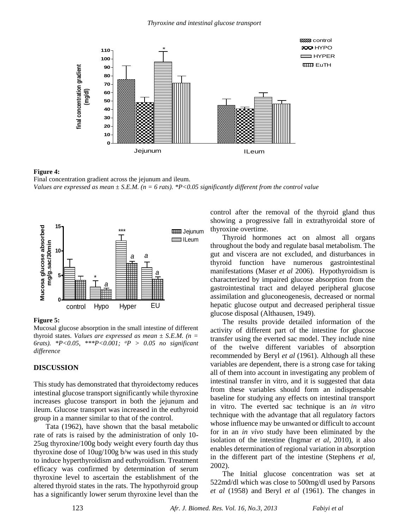

#### **Figure 4:**

Final concentration gradient across the jejunum and ileum. *Values are expressed as mean ± S.E.M. (n = 6 rats). \*P<0.05 significantly different from the control value*



#### **Figure 5:**

Mucosal glucose absorption in the small intestine of different thyroid states. *Values are expressed as mean ± S.E.M. (n = 6rats). \*P<0.05, \*\*\*P<0.001; <sup>a</sup>P > 0.05 no significant difference*

#### **DISCUSSION**

This study has demonstrated that thyroidectomy reduces intestinal glucose transport significantly while thyroxine increases glucose transport in both the jejunum and ileum. Glucose transport was increased in the euthyroid group in a manner similar to that of the control.

Tata (1962), have shown that the basal metabolic rate of rats is raised by the administration of only 10- 25ug thyroxine/100g body weight every fourth day thus thyroxine dose of 10ug/100g b/w was used in this study to induce hyperthyroidism and euthyroidism. Treatment efficacy was confirmed by determination of serum thyroxine level to ascertain the establishment of the altered thyroid states in the rats. The hypothyroid group has a significantly lower serum thyroxine level than the control after the removal of the thyroid gland thus showing a progressive fall in extrathyroidal store of thyroxine overtime.

Thyroid hormones act on almost all organs throughout the body and regulate basal metabolism. The gut and viscera are not excluded, and disturbances in thyroid function have numerous gastrointestinal manifestations (Maser *et al* 2006). Hypothyroidism is characterized by impaired glucose absorption from the gastrointestinal tract and delayed peripheral glucose assimilation and gluconeogenesis, decreased or normal hepatic glucose output and decreased peripheral tissue glucose disposal (Althausen, 1949).

The results provide detailed information of the activity of different part of the intestine for glucose transfer using the everted sac model. They include nine of the twelve different variables of absorption recommended by Beryl *et al* (1961). Although all these variables are dependent, there is a strong case for taking all of them into account in investigating any problem of intestinal transfer in vitro, and it is suggested that data from these variables should form an indispensable baseline for studying any effects on intestinal transport in vitro. The everted sac technique is an *in vitro* technique with the advantage that all regulatory factors whose influence may be unwanted or difficult to account for in an *in vivo* study have been eliminated by the isolation of the intestine (Ingmar *et al,* 2010), it also enables determination of regional variation in absorption in the different part of the intestine (Stephens *et al,* 2002).

The Initial glucose concentration was set at 522md/dl which was close to 500mg/dl used by Parsons *et al* (1958) and Beryl *et al* (1961). The changes in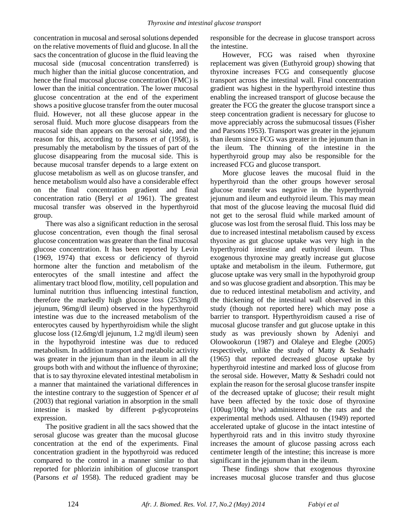concentration in mucosal and serosal solutions depended on the relative movements of fluid and glucose. In all the sacs the concentration of glucose in the fluid leaving the mucosal side (mucosal concentration transferred) is much higher than the initial glucose concentration, and hence the final mucosal glucose concentration (FMC) is lower than the initial concentration. The lower mucosal glucose concentration at the end of the experiment shows a positive glucose transfer from the outer mucosal fluid. However, not all these glucose appear in the serosal fluid. Much more glucose disappears from the mucosal side than appears on the serosal side, and the reason for this, according to Parsons *et al* (1958), is presumably the metabolism by the tissues of part of the glucose disappearing from the mucosal side. This is because mucosal transfer depends to a large extent on glucose metabolism as well as on glucose transfer, and hence metabolism would also have a considerable effect on the final concentration gradient and final concentration ratio (Beryl *et al* 1961). The greatest mucosal transfer was observed in the hyperthyroid group.

There was also a significant reduction in the serosal glucose concentration, even though the final serosal glucose concentration was greater than the final mucosal glucose concentration. It has been reported by Levin (1969, 1974) that excess or deficiency of thyroid hormone alter the function and metabolism of the enterocytes of the small intestine and affect the alimentary tract blood flow, motility, cell population and luminal nutrition thus influencing intestinal function, therefore the markedly high glucose loss (253mg/dl jejunum, 96mg/dl ileum) observed in the hyperthyroid intestine was due to the increased metabolism of the enterocytes caused by hyperthyroidism while the slight glucose loss (12.6mg/dl jejunum, 1.2 mg/dl ileum) seen in the hypothyroid intestine was due to reduced metabolism. In addition transport and metabolic activity was greater in the jejunum than in the ileum in all the groups both with and without the influence of thyroxine; that is to say thyroxine elevated intestinal metabolism in a manner that maintained the variational differences in the intestine contrary to the suggestion of Spencer *et al* (2003) that regional variation in absorption in the small intestine is masked by different p-glycoproteins expression.

The positive gradient in all the sacs showed that the serosal glucose was greater than the mucosal glucose concentration at the end of the experiments. Final concentration gradient in the hypothyroid was reduced compared to the control in a manner similar to that reported for phlorizin inhibition of glucose transport (Parsons *et al* 1958). The reduced gradient may be responsible for the decrease in glucose transport across the intestine.

However, FCG was raised when thyroxine replacement was given (Euthyroid group) showing that thyroxine increases FCG and consequently glucose transport across the intestinal wall. Final concentration gradient was highest in the hyperthyroid intestine thus enabling the increased transport of glucose because the greater the FCG the greater the glucose transport since a steep concentration gradient is necessary for glucose to move appreciably across the submucosal tissues (Fisher and Parsons 1953). Transport was greater in the jejunum than ileum since FCG was greater in the jejunum than in the ileum. The thinning of the intestine in the hyperthyroid group may also be responsible for the increased FCG and glucose transport.

More glucose leaves the mucosal fluid in the hyperthyroid than the other groups however serosal glucose transfer was negative in the hyperthyroid jejunum and ileum and euthyroid ileum. This may mean that most of the glucose leaving the mucosal fluid did not get to the serosal fluid while marked amount of glucose was lost from the serosal fluid. This loss may be due to increased intestinal metabolism caused by excess thyoxine as gut glucose uptake was very high in the hyperthyroid intestine and euthyroid ileum. Thus exogenous thyroxine may greatly increase gut glucose uptake and metabolism in the ileum. Futhermore, gut glucose uptake was very small in the hypothyroid group and so was glucose gradient and absorption. This may be due to reduced intestinal metabolism and activity, and the thickening of the intestinal wall observed in this study (though not reported here) which may pose a barrier to transport. Hyperthyroidism caused a rise of mucosal glucose transfer and gut glucose uptake in this study as was previously shown by Adeniyi and Olowookorun (1987) and Olaleye and Elegbe (2005) respectively, unlike the study of Matty & Seshadri (1965) that reported decreased glucose uptake by hyperthyroid intestine and marked loss of glucose from the serosal side. However, Matty & Seshadri could not explain the reason for the serosal glucose transfer inspite of the decreased uptake of glucose; their result might have been affected by the toxic dose of thyroxine (100ug/100g b/w) administered to the rats and the experimental methods used. Althausen (1949) reported accelerated uptake of glucose in the intact intestine of hyperthyroid rats and in this invitro study thyroxine increases the amount of glucose passing across each centimeter length of the intestine; this increase is more significant in the jejunum than in the ileum.

These findings show that exogenous thyroxine increases mucosal glucose transfer and thus glucose